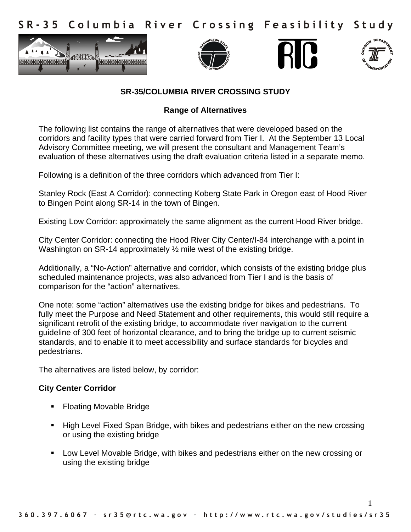Columbia River Crossing Feasibility Study S R - 3 5









1

# **SR-35/COLUMBIA RIVER CROSSING STUDY**

# **Range of Alternatives**

The following list contains the range of alternatives that were developed based on the corridors and facility types that were carried forward from Tier I. At the September 13 Local Advisory Committee meeting, we will present the consultant and Management Team's evaluation of these alternatives using the draft evaluation criteria listed in a separate memo.

Following is a definition of the three corridors which advanced from Tier I:

Stanley Rock (East A Corridor): connecting Koberg State Park in Oregon east of Hood River to Bingen Point along SR-14 in the town of Bingen.

Existing Low Corridor: approximately the same alignment as the current Hood River bridge.

City Center Corridor: connecting the Hood River City Center/I-84 interchange with a point in Washington on SR-14 approximately  $\frac{1}{2}$  mile west of the existing bridge.

Additionally, a "No-Action" alternative and corridor, which consists of the existing bridge plus scheduled maintenance projects, was also advanced from Tier I and is the basis of comparison for the "action" alternatives.

One note: some "action" alternatives use the existing bridge for bikes and pedestrians. To fully meet the Purpose and Need Statement and other requirements, this would still require a significant retrofit of the existing bridge, to accommodate river navigation to the current guideline of 300 feet of horizontal clearance, and to bring the bridge up to current seismic standards, and to enable it to meet accessibility and surface standards for bicycles and pedestrians.

The alternatives are listed below, by corridor:

## **City Center Corridor**

- Floating Movable Bridge
- ! High Level Fixed Span Bridge, with bikes and pedestrians either on the new crossing or using the existing bridge
- **EXECT** Low Level Movable Bridge, with bikes and pedestrians either on the new crossing or using the existing bridge